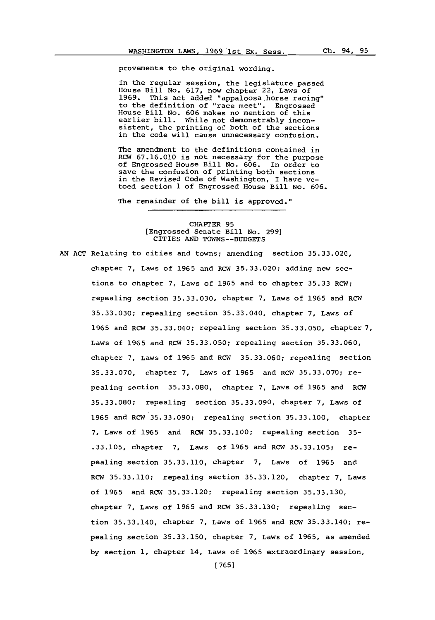provements to the original wording.

In the regular session, the legislature passed House Bill No. **617,** now chapter 22, Laws of **1969.** This act added 'appaloosa-horse racing" to the definition of "race meet". Engrossed House Bill No. **606** makes no mention of this earlier bill. While not demonstrably inconsistent, the printing of both of the sections in the code will cause unnecessary confusion.

The amendment to the definitions contained in RCW **67.16.010** is not necessary for the purpose of Engrossed House Bill No. **606.** In order to save the confusion of printing both sections in the Revised Code of Washington, I have ve- toed section **1** of Engrossed House Bill No. **606.**

The remainder of the bill is approved."

## CHAPTER **95** [Engrossed Senate Bill No. **299]** CITIES **AND TOWNS--BUDGETS**

**AN ACT** Relating to cities and towns; amending section **35.33.020,** chapter **7,** Laws of **1965** and RCW **35.33.020;** adding new sections to chapter **7,** Laws of **1965** and to chapter **35.33** RCW; repealing section **35.33.030,** chapter **7,** Laws of **1965** and RCW **35.33.030;** repealing section **35.33.040,** chapter **7,** Laws of **1965** and RCW **35.33.040;** repealing section **35.33.050,** chapter **7,** Laws of **1965** and RCW **35.33.050;** repealing section **35.33.060,** chapter **7,** Laws of **1965** and RCW **35.33.060;** repealing section **35.33.070,** chapter **7,** Laws of **1965** and RCW **35.33.070;** repealing section **35.33.080,** chapter **7,** Laws of **1965** and RCW **35.33.080;** repealing section **35.33.090,** chapter **7,** Laws of **1965** and RCW **35.33.090;** repealing section **35.33.100,** chapter 7. Laws of **1965** and RCW **35.33.100;** repealing section **35- .33.105,** chapter **7,** Laws of **1965** and RCW **35.33.105;** repealing section **35.33.110,** chapter **7,** Laws of **1965** and RCW **35.33.110;** repealing section 35.33.120, chapter **7,** Laws of **1965** and RCW **35.33.120;** repealing section **35.33.130,** chapter 7. Laws of **1965** and RCW **35.33.130;** repealing section **35.33.140,** chapter **7,** Laws of **1965** and RCW **35.33.140;** repealing section **35.33.150,** chapter **7,** Laws of **1965,** as amended **by** section **1,** chapter 14, Laws of **1965** extraordinary session,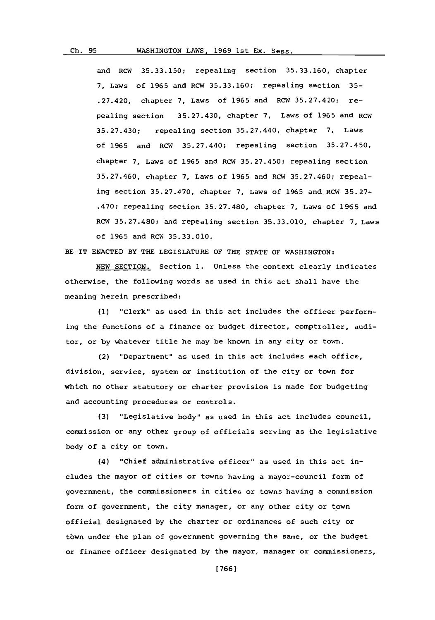## Ch. 95 WASHINGTON LAWS, 1969 1st Ex. Sess.

and RCW **35.33.150;** repealing section **35.33.160,** chapter **7,** Laws of **1965** and RCW **35.33.160;** repealing section **35-** .27.420, chapter **7,** Laws of **1965** and RCW **35.27.420;** repealing section **35.27.430,** chapter **7,** Laws of **1965** and RCW **35.27.430;** repealing section 35.27.440, chapter **7,** Laws of **1965** and RCW 35.27.440; repealing section **35.27.450,** chapter **7,** Laws of **1965** and RCW **35.27.450;** repealing section **35.27.460,** chapter **7,** Laws of **1965** and RCW **35.27.460;** repealing section **35.27.470,** chapter **7,** Laws of **1965** and RCW **35.27-** .470; repealing section **35.27.480,** chapter **7,** Laws of **1965** and RCW **35.27.480;** and repealing section **35.33.010,** chapter **7,** Laws of **1965** and RCW **35.33.010.**

BE IT **ENACTED** BY **THE** LEGISLATURE OF THE **STATE** OF WASHINGTON:

**NEW** SECTION. Section **1.** Unless the context clearly indicates otherwise, the following words as used in this act shall have the meaning herein prescribed:

**(1)** "Clerk" as used in this act includes the officer performing the functions of a finance or budget director, comptroller, auditor, or **by** whatever title he may be known in any city or town.

(2) "Department" as used in this act includes each office, division, service, system or institution of the city or town for which no other statutory or charter provision is made for budgeting and accounting procedures or controls.

**(3)** "Legislative body" as used in this act includes council, commission or any other group of officials serving as the legislative body of a city or town.

(4) "Chief administrative officer" as used in this act includes the mayor of cities or towns having a mayor-council form of government, the commissioners in cities or towns having a commission form of government, the city manager, or any other city or town official designated **by** the charter or ordinances of such city or town under the plan of government governing the same, or the budget or finance officer designated **by** the mayor, manager or commissioners,

**[ 766]**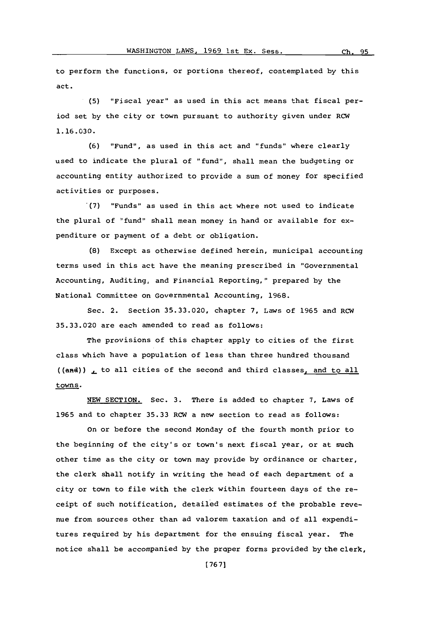to perform the functions, or portions thereof, contemplated **by** this act.

**(5)** "Fiscal year" as used in this act means that fiscal period set **by** the city or town pursuant to authority given under RCW **1.16.030.**

**(6)** "Fund", as used in this act and "funds" where clearly used to indicate the plural of *"fund",* shall mean the budgeting or accounting entity authorized to provide a sum of money for specified activities or purposes.

**(7)** "Funds" as used in this act where not used to indicate the plural of "fund" shall mean money in hand or available for expenditure or payment of a debt or obligation.

**(8)** Except as otherwise defined herein, municipal accounting terms used in this act have the meaning prescribed in "Governmental Accounting, Auditing, and Financial Reporting," prepared **by** the National Committee on Governmental Accounting, **1968.**

Sec. 2. Section **35.33.020,** chapter **7,** Laws of **1965** and RCW **35.33.0'20** are each amended to read as follows:

The provisions of this chapter apply to cities of the first class which have a population of less than three hundred thousand ((and)) **,** to all cities of the second and third classes, and to all towns.

**NEW** SECTION. Sec. **3.** There is added to chapter **7,** Laws of **1965** and to chapter **35.33** RCW a new section to read as follows:

on or before the second Monday of the fourth month prior to the beginning of the city's or town's next fiscal year, or at such other time as the city or town may provide **by** ordinance or charter, the clerk shall notify in writing the head of each department of a city or town to file with the clerk within fourteen days of the receipt of such notification, detailed estimates of the probable revenue from sources other than ad valorem taxation and of all expenditures required **by** his department for the ensuing fiscal year. The notice shall be accompanied **by** the proper forms provided **by** the clerk,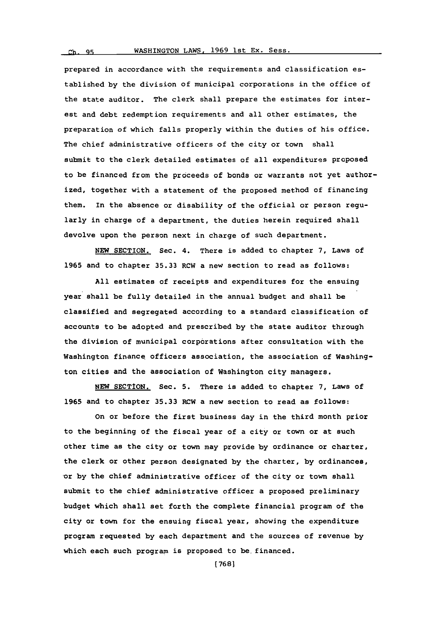## **Ch 99;** WASHINGTON LAWS, **1969** 1st Ex. Sess.

prepared in accordance with the requirements and classification established **by** the division of municipal corporations in the office of the state auditor. The clerk shall prepare the estimates for interest and debt redemption requirements and all other estimates, the preparation of which falls properly within the duties of his office. The chief administrative officers of the city or town shall submit to the clerk detailed estimates of all expenditures proposed to be financed from the proceeds of bonds or warrants not yet authorized, together with a statement of the proposed method of financing them. In the absence or disability of the official or person regularly in charge of a department, the duties herein required shall devolve upon the person next in charge of such department.

**NEW** SECTION. Sec. 4. There is added to chapter **7,** Laws of **1965** and to chapter **35.33** RCW a new section to read as follows:

**All** estimates of receipts and expenditures for the ensuing year shall be fully detailed in the annual budget and shall be classified and segregated according to a standard classification of accounts to be adopted and prescribed **by** the state auditor through the division of municipal corporations after consultation with the Washington finance officers association, the association of Washington cities and the association of Washington city managers.

**NEW SECTION.** Sec. **5.** There is added to chapter **7,** Laws of **1965** and to chapter **35.33** RCW a new section to read as follows:

On or before the first business day in the third month prior to the beginning of the fiscal year of a city or town or at such other time as the city or town may provide **by** ordinance or charter, the clerk or other person designated **by** the charter, **by** ordinances, -or **by** the chief administrative officer of the city or town shall submit to the chief administrative officer a proposed preliminary budget which shall set forth the complete financial program of the city or town for the ensuing fiscal year, showing the expenditure program requested **by** each department and the sources of revenue **by** which each such program is proposed to be financed.

**(768]**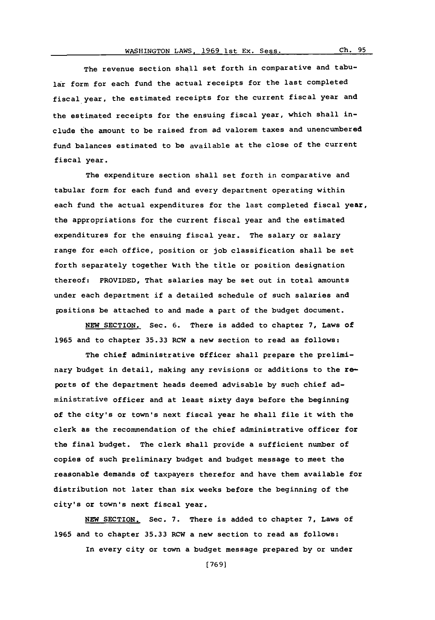The revenue section shall set forth in comparative and tabular form for each fund the actual receipts for the last completed fiscal year. the estimated receipts for the current fiscal year and the estimated receipts for the ensuing fiscal year, which shall include the amount to be raised from ad valorem taxes and unencumbered fund balances estimated to be available at the close of the current fiscal year.

The expenditure section shall set forth in comparative and tabular form for each fund and every department operating within each fund the actual expenditures for the last completed fiscal year, the appropriations for the current fiscal year and the estimated expenditures for the ensuing fiscal year. The salary or salary range for each office, position or job classification shall be set forth separately together With the title or position designation thereof: PROVIDED, That salaries may be set out in total amounts under each department if a detailed schedule of such salaries and positions be attached to and made a part of the budget document.

**NEW** SECTION. Sec. **6.** There is added to chapter **7,** Laws of **1965** and to chapter **35.33** RCW a new section to read as follows:

The chief administrative officer shall prepare the preliminary budget in detail, making any revisions or additions to the reports of the department heads deemed advisable **by** such chief administrative officer and at least sixty days before the beginning of the city's or town's next fiscal year he shall file it with the clerk as the recommendation of the chief administrative officer for the final budget. The clerk shall provide a sufficient number of copies of such preliminary budget and budget message to meet the reasonable demands **of** taxpayers therefor and have them available for distribution not later than six weeks before the beginning of the city's or town's next fiscal year.

**NEW** SECTION. Sec. **7.** There is added to chapter **7,** Laws of **1965** and to chapter **35.33** RCW a new section to read as follows:

In every city or town a budget message prepared **by** or under

**(7691**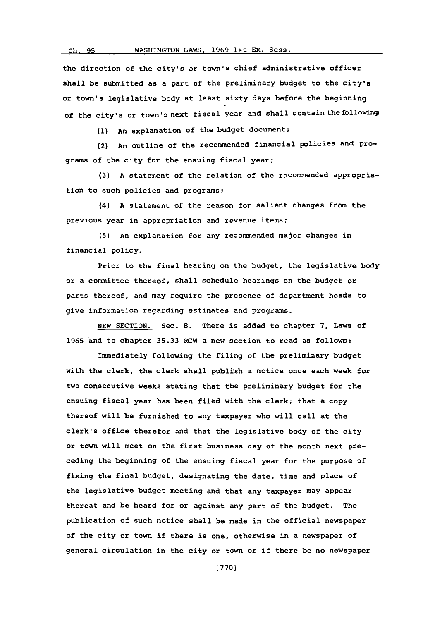the direction of the city's or town's chief administrative officer shall be submitted as a part of the preliminary budget to the city's or town's legislative body at least sixty days before the beginning of the city's or town's next fiscal year and shall contain the following:

**(1)** An explanation of the budget document;

(2) An outline of the recommended financial policies and programs **of** the city for the ensuing fiscal year;

**(3) A** statement of the relation of the recommended appropriation to such policies and programs;

(4) **A** statement of the reason for salient changes from the previous year in appropriation and revenue items;

**(5)** An explanation for any recommended major changes in financial policy.

Prior to the final hearing on the budget, the legislative body or a committee thereof, shall schedule hearings on the budget or parts thereof, and may require the presence of department heads to give information regarding estimates and programs.

**NEW** SECTION. Sec. **8.** There is added to chapter **7,** Laws of **1965** and to chapter **35.33** RCW a new section to read as follows:

Immediately following the filing of the preliminary budget with the clerk, the clerk shall publish a notice once each week for two consecutive weeks stating that the preliminary budget for the ensuing fiscal year has been filed with the clerk; that a copy thereof will be furnished to any taxpayer who will call at the clerk's office therefor and that the legislative body of the city or town will meet on the first business day of the month next preceding the beginning of the ensuing fiscal year for the purpose of fixing the final budget, designating the date, time and place of the legislative budget meeting and that any taxpayer may appear thereat and be heard for or against any part of the budget. The publication of such notice shall be made in the official newspaper of the city or town if there is one, otherwise in a newspaper of general circulation in the city or town or if there be no newspaper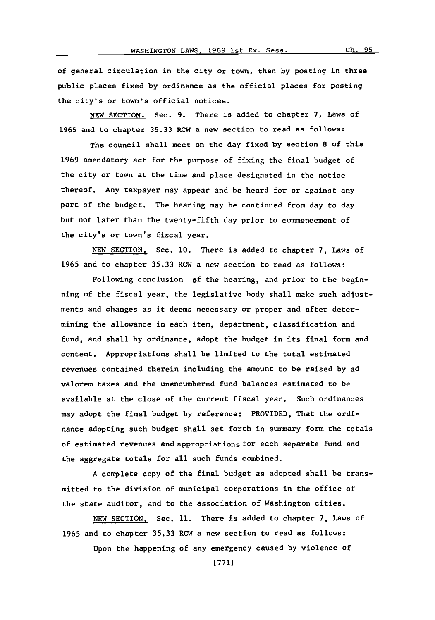of general circulation in the city or town, then **by** posting in three public places fixed **by** ordinance as the official places for posting

**NEW** SECTION. Sec. **9.** There is added to chapter **7,** Laws of **1965** and to chapter **35.33** RCW a new section to read as follows:

the city's or town's official notices.

The council shall meet on the day fixed **by** section **8** of this **1969** amendatory act for the purpose of fixing the final budget of the city or town at the time and place designated in the notice thereof. Any taxpayer may appear and be heard for or against any part of the budget. The hearing may be continued from day to day but not later than the twenty-fifth day prior to commencement of the city's or town's fiscal year.

**NEW** SECTION. Sec. **10.** There is added to chapter **7,** Laws of **1965** and to chapter **35.33** ROW a new section to read as follows:

Following conclusion **of** the hearing, and prior to the beginning of the fiscal year, the legislative body shall make such adjustments and changes as it deems necessary or proper and after determining the allowance in each item, department, classification and fund, and shall **by** ordinance, adopt the budget in its final form and content. Appropriations shall be limited to the total estimated revenues contained therein including the amount to be raised **by** ad valorem taxes and the unencumbered fund balances estimated to be available at the close of the current fiscal year. Such ordinances may adopt the final budget **by** reference: PROVIDED, That the ordinance adopting such budget shall set forth in summary form the totals of estimated revenues and appropriations for each separate fund and the aggregate totals for all such funds combined.

**A** complete copy of the final budget as adopted shall be transmitted to the division of municipal corporations in the office of the state auditor, and to the association of Washington cities.

**NEW** SECTION. Sec. **11.** There is added to chapter **7,** Laws of **1965** and to chapter **35.33** ROW a new section to read as follows:

Upon the happening of any emergency caused **by** violence of

**[771]**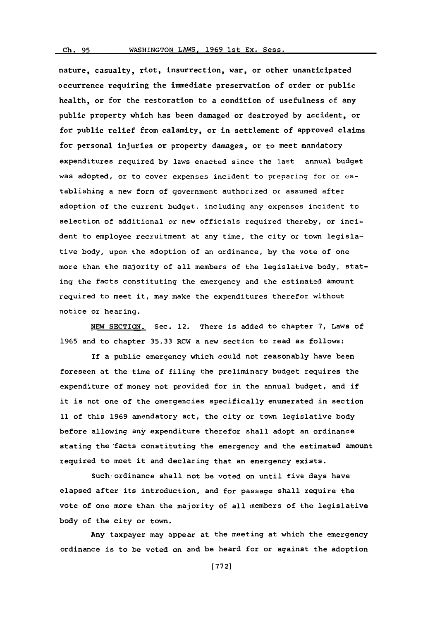## **Ch. 95** WASHINGTON LAWS, **1969** lst Ex. Sess.

nature, casualty, riot, insurrection, war, or other unanticipated occurrence requiring the immediate preservation of order or public health, or for the restoration to a condition of usefulness of any public property which has been damaged or destroyed **by** accident, or for public relief from calamity, or in settlement of approved claims for personal injuries or property damages, or to meet mandatory expenditures required **by** laws enacted since the last annual budget was adopted, or to cover expenses incident to preparing for or establishing a new form of government authorized or assumed after adoption of the current budget, including any expenses incident to selection of additional or new officials required thereby, or incident to employee recruitment at any time, the city or town legislative body, upon the adoption of an ordinance, **by** the vote of one more than the majority of all members of the legislative body, stating the facts constituting the emergency and the estimated amount required to meet it, may make the expenditures therefor without notice or hearing.

**NEW** SECTION. Sec. 12. There is added to chapter **7,** Laws of **1965** and to chapter **35.33** RCW a new section to read as follows:

If a public emergency which could not reasonably have been foreseen at the time of filing the preliminary budget requires the expenditure of money not provided for in the annual budget, and if it is not one of the emergencies specifically enumerated in section **11** of this **1969** amendatory act, the city or town legislative body before allowing any expenditure therefor shall adopt an ordinance stating the facts constituting the emergency and the estimated amount required to meet it and declaring that an emergency exists.

Such-ordinance shall not be voted on until five days have elapsed after its introduction, and for passage shall require the vote of one more than the majority of all members of the legislative body of the city or town.

Any taxpayer may appear at the meeting at which the emergency ordinance is to be voted on and be heard for or against the adoption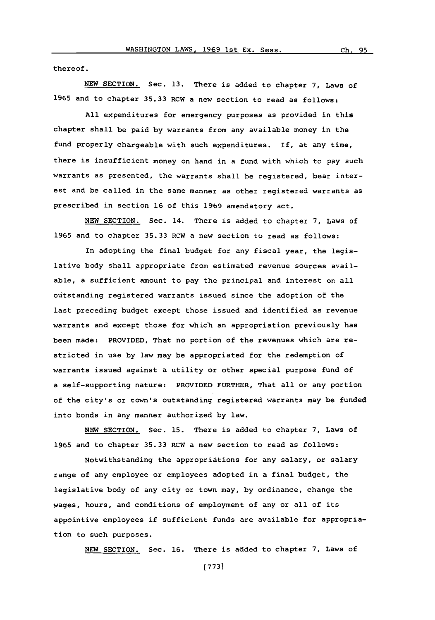thereof.

**NEW** SECTION. Sec. **13.** There is added to chapter **7,** Laws of **1965** and to chapter **35.33** RCW a new section to read as follows:

**All** expenditures for emergency purposes as provided in this chapter shall be paid **by** warrants from any available money in the fund properly chargeable with such expenditures. If, at any time, there is insufficient money on hand in a fund with which to pay such warrants as presented, the warrants shall be registered, bear interest and be called in the same manner as other registered warrants as prescribed in section **16** of this **1969** amendatory act.

**NEW** SECTION. Sec. 14. There is added to chapter **7,** Laws of **1965** and to chapter **35.33** RCW a new section to read as follows:

In adopting the final budget for any fiscal year, the legislative body shall appropriate from estimated revenue sources available, a sufficient amount to pay the principal and interest on all outstanding registered warrants issued since the adoption of the last preceding budget except those issued and identified as revenue warrants and except those for which an appropriation previously has been made: PROVIDED, That no portion of the revenues which are restricted in use **by** law may be appropriated for the redemption of warrants issued against a utility or other special purpose fund of a self-supporting nature: PROVIDED FURTHER, That all or any portion of the city's or town's outstanding registered warrants may be funded into bonds in any manner authorized **by** law.

**NEW** SECTION. Sec. **15.** There is added to chapter **7,** Laws of **1965** and to chapter **35.33** RCW a new section to read as follows:

Notwithstanding the appropriations for any salary, or salary range of any employee or employees adopted in a final budget, the legislative body of any city or town may, **by** ordinance, change the wages, hours, and conditions of employment of any or all of its appointive employees if sufficient funds are available for appropriation to such purposes.

**NEW SECTION.** Sec. **16.** There is added to chapter **7,** Laws of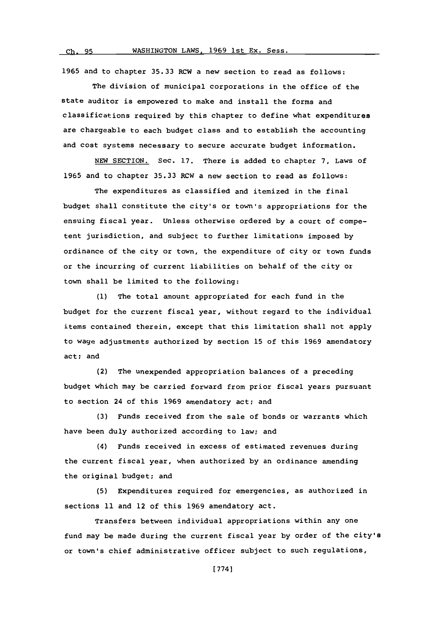**1965** and to chapter **35.33** RCW a new section to read as follows:

The division of municipal corporations in the office of the state auditor is empowered to make and install the forms and classifications required **by** this chapter to define what expenditures are chargeable to each budget class and to establish the accounting and cost systems necessary to secure accurate budget information.

**NEW** SECTION. Sec. **17.** There is added to chapter **7,** Laws of **1965** and to chapter **35.33** RCW a new section to read as follows:

The expenditures as classified and itemized in the final budget shall constitute the city's or town's appropriations for the ensuing fiscal year. Unless otherwise ordered **by** a court of competent jurisdiction, and subject to further limitations imposed **by** ordinance of the city or town, the expenditure of city or town funds or the incurring of current liabilities on behalf of the city or town shall be limited to the following:

**(1)** The total amount appropriated for each fund in the budget for the current fiscal year, without regard to the individual items contained therein, except that this limitation shall not apply to wage adjustments authorized **by** section **15** of this **1969** amendatory act; and

(2) The unexpended appropriation balances of a preceding budget which may be carried forward from prior fiscal years pursuant to section 24 of this **1969** amendatory act; and

**(3)** Funds received from the sale of bonds or warrants which have been duly authorized according to law; and

(4) Funds received in excess of estimated revenues during the current fiscal year, when authorized **by** an ordinance amending the original budget; and

**(5)** Expenditures required for emergencies, as authorized in sections **11** and 12 of this **1969** amendatory act.

Transfers between individual appropriations within any one fund may be made during the current fiscal year **by** order of the city's or town's chief administrative officer subject to such regulations,

**[ 774]**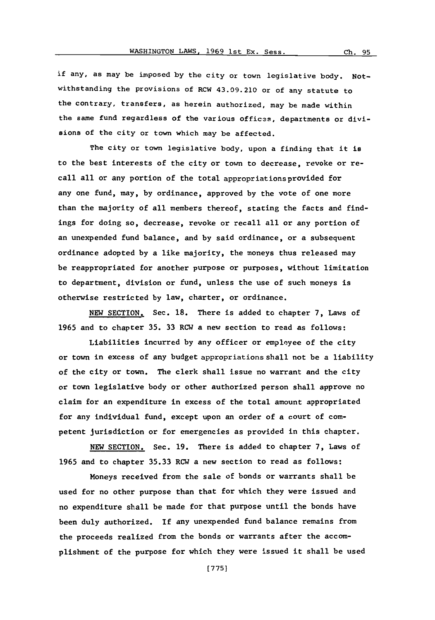if any, as may be imposed **by** the city or town legislative body. Notwithstanding the provisions of RCW 43.09.210 or of any statute to the contrary, transfers, as herein authorized, may be made within the same fund regardless of the various offices, departments or divisions of the city or town which may be affected.

The city or town legislative body, upon a finding that it is to the best interests of the city or town to decrease, revoke or recall all or any portion of the total appropriations provided for any one fund, may, **by** ordinance, approved **by** the vote of one more than the majority of all members thereof, stating the facts and findings for doing so, decrease, revoke or recall all or any portion of an unexpended fund balance, and **by** said ordinance, or a subsequent ordinance adopted **by** a like majority, the moneys thus released may be reappropriated for another purpose or purposes, without limitation to department, division or fund, unless the use of such moneys is otherwise restricted **by** law, charter, or ordinance.

**NEW** SECTION. Sec. **18.** There is added to chapter **7,** Laws of **1965** and to chapter **35. 33** RCW a new section to read as follows:

Liabilities incurred **by** any officer or employee of the city or town in excess of any budget appropriations shall not be a liability of the city or town. The clerk shall issue no warrant and the city or town legislative body or other authorized person shall approve no claim for an expenditure in excess of the total amount appropriated for any individual fund, except upon an order of a court of competent jurisdiction or for emergencies as provided in this chapter.

**NEW** SECTION. Sec. **19.** There is added to chapter **7,** Laws of **1965** and to chapter **35.33** RCW a new section to read as follows:

Moneys received from the sale of bonds or warrants shall be used for no other purpose than that for which they were issued and no expenditure shall be made for that purpose until the bonds have been duly authorized. If any unexpended fund balance remains from the proceeds realized from the bonds or warrants after the accomplishment of the purpose for which they were issued it shall be used

Ch. 95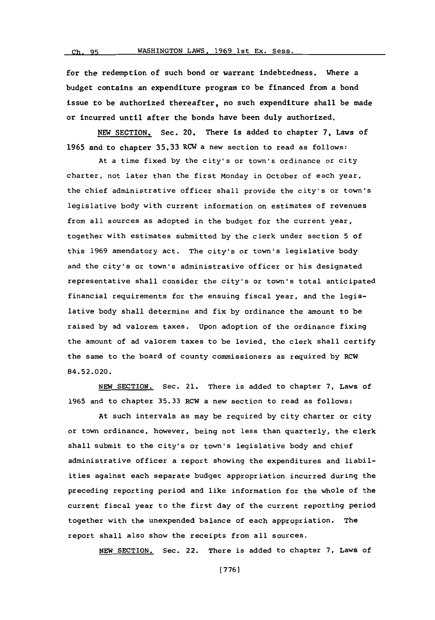for the redemption of such bond or warrant indebtedness. Where a budget contains an expenditure program to be financed from a bond issue to be authorized thereafter, no such expenditure shall be made or incurred until after the bonds have been duly authorized.

**NEW** SECTION. Sec. 20. There is added to chapter **7,** Laws of **1965** and to chapter **35.33** RCW a new section to read as follows:

At a time fixed **by** the city's or town's ordinance or city charter, not later than the first Monday in October of each year, the chief adninistrative officer shall provide the city's or town's legislative body with current information on estimates of revenues from all sources as adopted in the budget for the current year, together with estimates submitted **by** the clerk under section **5** of this **1969** amendatory act. The city's or town's legislative body and the city's or town's administrative officer or his designated representative shall consider the city's or town's total anticipated financial requirements for the ensuing fiscal year, and the legislative body shall determine and fix **by** ordinance the amount to be raised **by** ad valorem taxes. Upon adoption of the ordinance fixing the amount of ad valorem taxes to be levied, the clerk shall certify the same to the board of county commissioners as required **by** RCW 84.52.020.

**NEW** SECTION. Sec. 21. There is added to chapter **7,** Laws of **1965** and to chapter **35.33** RCW a new section to read as follows:

At such intervals as may be required **by** city charter or city or town ordinance, however, being not less than quarterly, the clerk shall submit to the city's or town's legislative body and chief administrative officer a report showing the expenditures and liabilities against each separate budget appropriation incurred during the preceding reporting period and like information for the whole of the current fiscal year to the first day of the current reporting period together with the unexpended balance of each appropriation. The report shall also show the receipts from all sources.

**NEW** SECTION. Sec. 22. There is added to chapter **7,** Laws of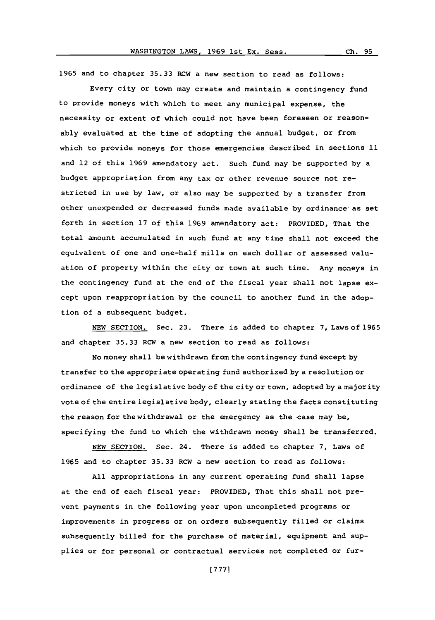**Ch. 95**

**1965** and to chapter **35.33** RCW a new section to read as follows:

Every city or town may create and maintain a contingency fund to provide moneys with which to meet any municipal expense, the necessity or extent of which could not have been foreseen or reasonably evaluated at the time of adopting the annual budget, or from which to provide moneys for those emergencies described in sections **11** and 12 of this **1969** amendatory act. Such fund may be supported **by** a budget appropriation from any tax or other revenue source not restricted in use **by** law, or also may be supported **by** a transfer from other unexpended or decreased funds made available **by** ordinance as set forth in section **17** of this **1969** amendatory act: PROVIDED, That the total amount accumulated in such fund at any time shall not exceed the equivalent of one and one-half mills on each dollar of assessed valuation of property within the city or town at such time. Any moneys in the contingency fund at the end of the fiscal year shall not lapse **ex**cept upon reappropriation **by** the council to another fund in the adoption of a subsequent budget.

**NEW** SECTION. Sec. **23.** There is added to chapter **7,** Laws of **1965** and chapter **35.33** RCW a new section to read as follows:

No money shall be withdrawn from the contingency fund except **by** transfer to the appropriate operating fund authorized **by** a resolution or ordinance of the legislative body of the city or town, adopted **by** a majority vote of the entire legislative body, clearly stating the facts constituting the reason for the withdrawal or the emergency as the case may be, specifying the fund to which the withdrawn money shall be transferred.

**NEW** SECTION. Sec. 24. There is added to chapter **7,** Laws of **1965** and to chapter **35.33** RCW a new section to read as follows:

**All** appropriations in any current operating fund shall lapse at the end of each fiscal year: PROVIDED, That this shall not prevent payments in the following year upon uncompleted programs or improvements in progress or on orders subsequently filled or claims subsequently billed for the purchase of material, equipment and supplies or for personal or contractual services not completed or fur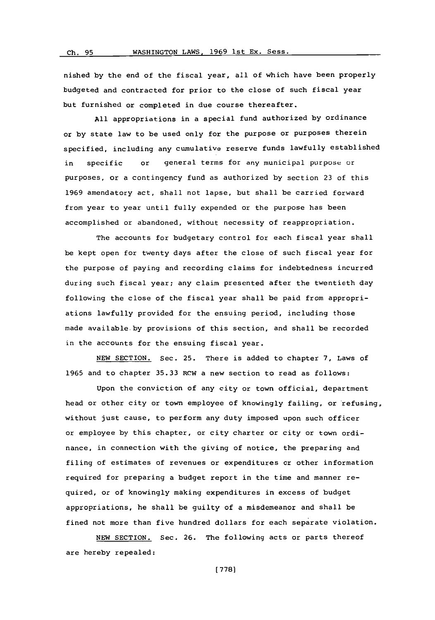nished **by** the end of the fiscal year, all of which have been properly budgeted and contracted for prior to the close of such fiscal year but furnished or completed in due course thereafter.

**All** appropriations in a special fund authorized **by** ordinance or **by** state law to be used only for the purpose or purposes therein specified, including any cumulative reserve funds lawfully established in specific or general terms for any municipal purpose or purposes, or a contingency fund as authorized **by** section **23** of this **1969** amendatory act, shall not lapse, but shall be carried forward from year to year until fully expended or the purpose has been accomplished or abandoned, without necessity of reappropriation.

The accounts for budgetary control for each fiscal year shall be kept open for twenty days after the close of such fiscal year for the purpose of paying and recording claims for indebtedness incurred during such fiscal year; any claim presented after the twentieth day following the close of the fiscal year shall be paid from appropriations lawfully provided for the ensuing period, including those made available-by provisions of this section, and shall be recorded in the accounts for the ensuing fiscal year.

**NEW** SECTION. Sec. **25.** There is added to chapter **7,** Laws of **1965** and to chapter **35.33** RCW a new section to read as follows:

Upon the conviction of any city or town official, department head or other city or town employee of knowingly failing, or refusing, without just cause, to perform any duty imposed upon such officer or employee **by** this chapter, or city charter or city or town ordinance, in connection with the giving of notice, the preparing and filing of estimates of revenues or expenditures or other information required for preparing a budget report in the tine and manner required, or of knowingly making expenditures in excess of budget appropriations, he shall be guilty of a misdemeanor and shall be fined not more than five hundred dollars for each separate violation.

**NEW** SECTION. Sec. **26.** The following acts or parts thereof are hereby repealed: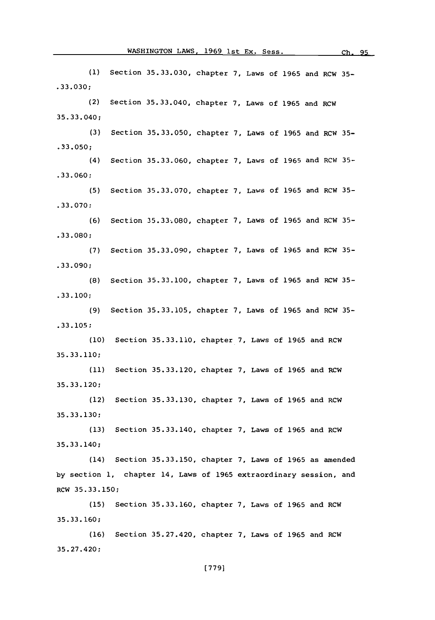**(1)** Section **35.33.030,** chapter **7,** Laws of **1965** and RCW **35- .33.030;** (2) **35. 33.** 040 **; (3)** Section **35. 33.050,** chapter Laws **of 1965** and RCW **35- .33.050;** (4) Section **35. 33. 060,** chapter Laws **of 1965** and RCW **35- .33.060; (5) .33. 070 ; (6)** Section **35.33.080,** chapter Laws **of 1965** and RCW **35- .33.080; (7)** Section **35.33.090,** chapter Laws **of 1965** and RCW **35- .33.090; (8)** Section **35.33.100,** chapter Laws **of 1965** and RCW **35- .33. 100;** Section **35.33.040,** chapter Laws **of 1965** and RCW Section **35.33.070,** chapter Laws **of 1965** and RCW **35- (9)** Section **35.33.105,** chapter Laws **of 1965** and RCW **35-.33.105; (10)** Section **35.33.110,** chapter **7,** Laws of **1965** and RCW **35.33.110; (11)** Section **35.33.120,** chapter **7,** Laws of **1965** and RCW **35. 33. 120;** (12) Section **35.33.130,** chapter **7,** Laws of **1965** and RCW **35.33.130; (13)** Section **35.33.140,** chapter **7,** Laws of **1965** and RCW **35.33.140;** (14) Section **35.33.150,** chapter **7,** Laws of **1965** as amended **by** section **1,** chapter 14, Laws of **1965** extraordinary session, and RCW **35.33.150; (15)** Section **35.33.160,** chapter **7,** Laws of **1965** and RCW **35.33. 160; (16)** Section **35.27.420,** chapter **7,** Laws of **1965** and RCW

**35.27.420;**